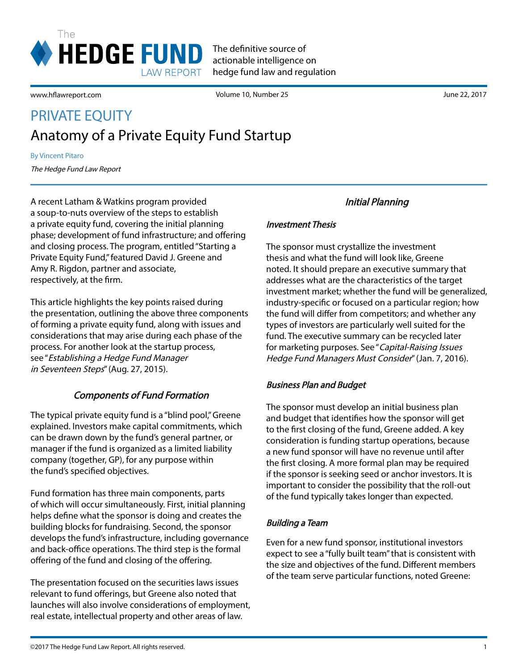

www.hflawreport.com

Volume 10, Number 25 June 22, 2017

# Anatomy of a Private Equity Fund Startup PRIVATE EQUITY

By Vincent Pitaro

The Hedge Fund Law Report

A recent Latham & Watkins program provided a soup-to-nuts overview of the steps to establish a private equity fund, covering the initial planning phase; development of fund infrastructure; and offering and closing process. The program, entitled "Starting a Private Equity Fund," featured David J. Greene and Amy R. Rigdon, partner and associate, respectively, at the firm.

This article highlights the key points raised during the presentation, outlining the above three components of forming a private equity fund, along with issues and considerations that may arise during each phase of the process. For another look at the startup process, see "Establishing a Hedge Fund Manager in Seventeen Steps" (Aug. 27, 2015).

### Components of Fund Formation

The typical private equity fund is a "blind pool," Greene explained. Investors make capital commitments, which can be drawn down by the fund's general partner, or manager if the fund is organized as a limited liability company (together, GP), for any purpose within the fund's specified objectives.

Fund formation has three main components, parts of which will occur simultaneously. First, initial planning helps define what the sponsor is doing and creates the building blocks for fundraising. Second, the sponsor develops the fund's infrastructure, including governance and back-office operations. The third step is the formal offering of the fund and closing of the offering.

The presentation focused on the securities laws issues relevant to fund offerings, but Greene also noted that launches will also involve considerations of employment, real estate, intellectual property and other areas of law.

## Initial Planning

#### Investment Thesis

The sponsor must crystallize the investment thesis and what the fund will look like, Greene noted. It should prepare an executive summary that addresses what are the characteristics of the target investment market; whether the fund will be generalized, industry-specific or focused on a particular region; how the fund will differ from competitors; and whether any types of investors are particularly well suited for the fund. The executive summary can be recycled later for marketing purposes. See "Capital-Raising Issues Hedge Fund Managers Must Consider" (Jan. 7, 2016).

#### Business Plan and Budget

The sponsor must develop an initial business plan and budget that identifies how the sponsor will get to the first closing of the fund, Greene added. A key consideration is funding startup operations, because a new fund sponsor will have no revenue until after the first closing. A more formal plan may be required if the sponsor is seeking seed or anchor investors. It is important to consider the possibility that the roll-out of the fund typically takes longer than expected.

#### Building a Team

Even for a new fund sponsor, institutional investors expect to see a "fully built team" that is consistent with the size and objectives of the fund. Different members of the team serve particular functions, noted Greene: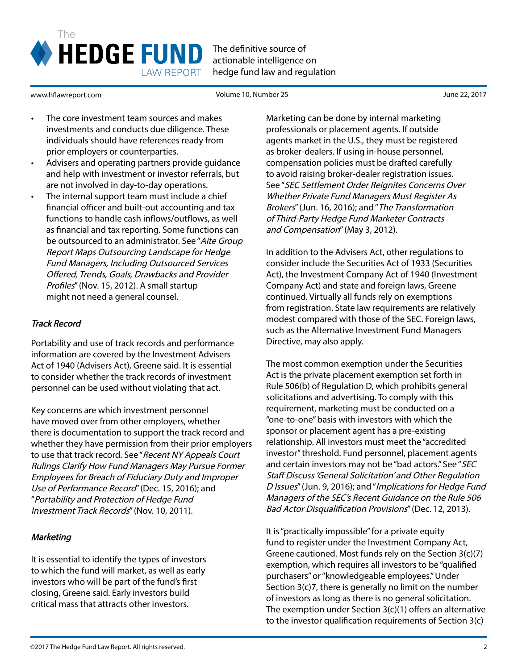

www.hflawreport.com

Volume 10, Number 25 June 22, 2017

- The core investment team sources and makes investments and conducts due diligence. These individuals should have references ready from prior employers or counterparties.
- Advisers and operating partners provide guidance and help with investment or investor referrals, but are not involved in day-to-day operations.
- The internal support team must include a chief financial officer and built-out accounting and tax functions to handle cash inflows/outflows, as well as financial and tax reporting. Some functions can be outsourced to an administrator. See "Aite Group Report Maps Outsourcing Landscape for Hedge Fund Managers, Including Outsourced Services Offered, Trends, Goals, Drawbacks and Provider Profiles" (Nov. 15, 2012). A small startup might not need a general counsel.

### Track Record

Portability and use of track records and performance information are covered by the Investment Advisers Act of 1940 (Advisers Act), Greene said. It is essential to consider whether the track records of investment personnel can be used without violating that act.

Key concerns are which investment personnel have moved over from other employers, whether there is documentation to support the track record and whether they have permission from their prior employers to use that track record. See "Recent NY Appeals Court Rulings Clarify How Fund Managers May Pursue Former Employees for Breach of Fiduciary Duty and Improper Use of Performance Record" (Dec. 15, 2016); and "Portability and Protection of Hedge Fund Investment Track Records" (Nov. 10, 2011).

### **Marketing**

It is essential to identify the types of investors to which the fund will market, as well as early investors who will be part of the fund's first closing, Greene said. Early investors build critical mass that attracts other investors.

Marketing can be done by internal marketing professionals or placement agents. If outside agents market in the U.S., they must be registered as broker-dealers. If using in-house personnel, compensation policies must be drafted carefully to avoid raising broker-dealer registration issues. See "SEC Settlement Order Reignites Concerns Over Whether Private Fund Managers Must Register As Brokers" (Jun. 16, 2016); and "The Transformation of Third-Party Hedge Fund Marketer Contracts and Compensation" (May 3, 2012).

In addition to the Advisers Act, other regulations to consider include the Securities Act of 1933 (Securities Act), the Investment Company Act of 1940 (Investment Company Act) and state and foreign laws, Greene continued. Virtually all funds rely on exemptions from registration. State law requirements are relatively modest compared with those of the SEC. Foreign laws, such as the Alternative Investment Fund Managers Directive, may also apply.

The most common exemption under the Securities Act is the private placement exemption set forth in Rule 506(b) of Regulation D, which prohibits general solicitations and advertising. To comply with this requirement, marketing must be conducted on a "one-to-one" basis with investors with which the sponsor or placement agent has a pre-existing relationship. All investors must meet the "accredited investor" threshold. Fund personnel, placement agents and certain investors may not be "bad actors." See "SEC Staff Discuss 'General Solicitation' and Other Regulation D Issues" (Jun. 9, 2016); and "Implications for Hedge Fund Managers of the SEC's Recent Guidance on the Rule 506 Bad Actor Disqualification Provisions" (Dec. 12, 2013).

It is "practically impossible" for a private equity fund to register under the Investment Company Act, Greene cautioned. Most funds rely on the Section 3(c)(7) exemption, which requires all investors to be "qualified purchasers" or "knowledgeable employees." Under Section 3(c)7, there is generally no limit on the number of investors as long as there is no general solicitation. The exemption under Section 3(c)(1) offers an alternative to the investor qualification requirements of Section 3(c)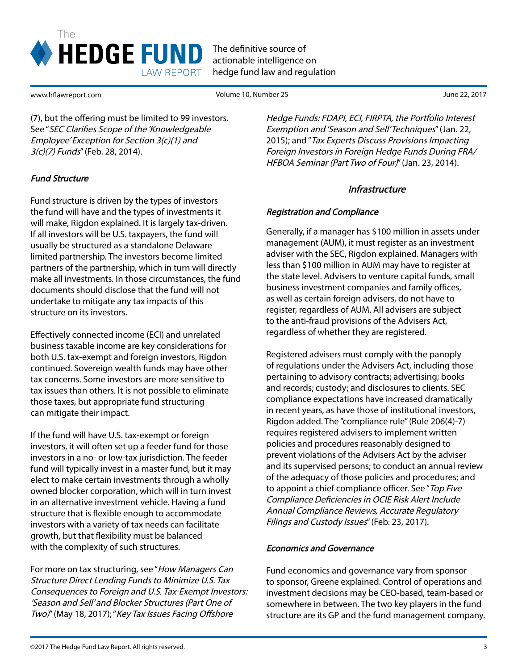

www.hflawreport.com

Volume 10, Number 25 June 22, 2017

(7), but the offering must be limited to 99 investors. See "SEC Clarifies Scope of the 'Knowledgeable Employee' Exception for Section 3(c)(1) and 3(c)(7) Funds" (Feb. 28, 2014).

## Fund Structure

Fund structure is driven by the types of investors the fund will have and the types of investments it will make, Rigdon explained. It is largely tax-driven. If all investors will be U.S. taxpayers, the fund will usually be structured as a standalone Delaware limited partnership. The investors become limited partners of the partnership, which in turn will directly make all investments. In those circumstances, the fund documents should disclose that the fund will not undertake to mitigate any tax impacts of this structure on its investors.

Effectively connected income (ECI) and unrelated business taxable income are key considerations for both U.S. tax-exempt and foreign investors, Rigdon continued. Sovereign wealth funds may have other tax concerns. Some investors are more sensitive to tax issues than others. It is not possible to eliminate those taxes, but appropriate fund structuring can mitigate their impact.

If the fund will have U.S. tax-exempt or foreign investors, it will often set up a feeder fund for those investors in a no- or low-tax jurisdiction. The feeder fund will typically invest in a master fund, but it may elect to make certain investments through a wholly owned blocker corporation, which will in turn invest in an alternative investment vehicle. Having a fund structure that is flexible enough to accommodate investors with a variety of tax needs can facilitate growth, but that flexibility must be balanced with the complexity of such structures.

For more on tax structuring, see "How Managers Can Structure Direct Lending Funds to Minimize U.S. Tax Consequences to Foreign and U.S. Tax-Exempt Investors: 'Season and Sell' and Blocker Structures (Part One of Two)" (May 18, 2017); "Key Tax Issues Facing Offshore

Hedge Funds: FDAPI, ECI, FIRPTA, the Portfolio Interest Exemption and 'Season and Sell' Techniques" (Jan. 22, 2015); and "Tax Experts Discuss Provisions Impacting Foreign Investors in Foreign Hedge Funds During FRA/ HFBOA Seminar (Part Two of Four)" (Jan. 23, 2014).

### Infrastructure

#### Registration and Compliance

Generally, if a manager has \$100 million in assets under management (AUM), it must register as an investment adviser with the SEC, Rigdon explained. Managers with less than \$100 million in AUM may have to register at the state level. Advisers to venture capital funds, small business investment companies and family offices, as well as certain foreign advisers, do not have to register, regardless of AUM. All advisers are subject to the anti-fraud provisions of the Advisers Act, regardless of whether they are registered.

Registered advisers must comply with the panoply of regulations under the Advisers Act, including those pertaining to advisory contracts; advertising; books and records; custody; and disclosures to clients. SEC compliance expectations have increased dramatically in recent years, as have those of institutional investors, Rigdon added. The "compliance rule" (Rule 206(4)-7) requires registered advisers to implement written policies and procedures reasonably designed to prevent violations of the Advisers Act by the adviser and its supervised persons; to conduct an annual review of the adequacy of those policies and procedures; and to appoint a chief compliance officer. See "Top Five Compliance Deficiencies in OCIE Risk Alert Include Annual Compliance Reviews, Accurate Regulatory Filings and Custody Issues" (Feb. 23, 2017).

### Economics and Governance

Fund economics and governance vary from sponsor to sponsor, Greene explained. Control of operations and investment decisions may be CEO-based, team-based or somewhere in between. The two key players in the fund structure are its GP and the fund management company.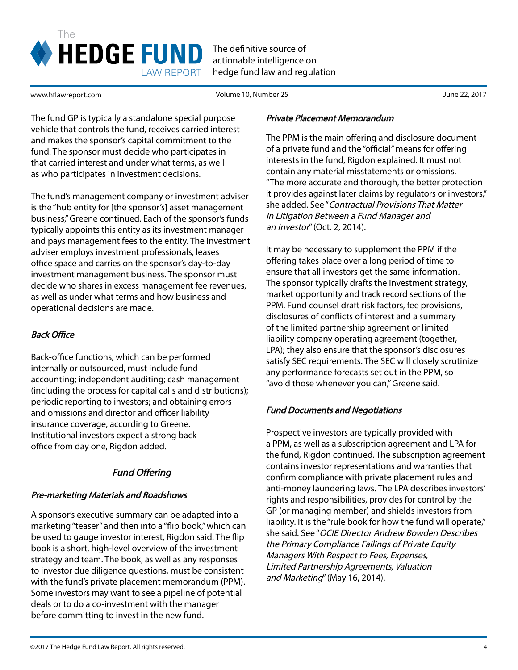

www.hflawreport.com

Volume 10, Number 25 June 22, 2017

The fund GP is typically a standalone special purpose vehicle that controls the fund, receives carried interest and makes the sponsor's capital commitment to the fund. The sponsor must decide who participates in that carried interest and under what terms, as well as who participates in investment decisions.

The fund's management company or investment adviser is the "hub entity for [the sponsor's] asset management business," Greene continued. Each of the sponsor's funds typically appoints this entity as its investment manager and pays management fees to the entity. The investment adviser employs investment professionals, leases office space and carries on the sponsor's day-to-day investment management business. The sponsor must decide who shares in excess management fee revenues, as well as under what terms and how business and operational decisions are made.

## Back Office

Back-office functions, which can be performed internally or outsourced, must include fund accounting; independent auditing; cash management (including the process for capital calls and distributions); periodic reporting to investors; and obtaining errors and omissions and director and officer liability insurance coverage, according to Greene. Institutional investors expect a strong back office from day one, Rigdon added.

## Fund Offering

### Pre-marketing Materials and Roadshows

A sponsor's executive summary can be adapted into a marketing "teaser" and then into a "flip book," which can be used to gauge investor interest, Rigdon said. The flip book is a short, high-level overview of the investment strategy and team. The book, as well as any responses to investor due diligence questions, must be consistent with the fund's private placement memorandum (PPM). Some investors may want to see a pipeline of potential deals or to do a co-investment with the manager before committing to invest in the new fund.

#### Private Placement Memorandum

The PPM is the main offering and disclosure document of a private fund and the "official" means for offering interests in the fund, Rigdon explained. It must not contain any material misstatements or omissions. "The more accurate and thorough, the better protection it provides against later claims by regulators or investors," she added. See "Contractual Provisions That Matter in Litigation Between a Fund Manager and an Investor" (Oct. 2, 2014).

It may be necessary to supplement the PPM if the offering takes place over a long period of time to ensure that all investors get the same information. The sponsor typically drafts the investment strategy, market opportunity and track record sections of the PPM. Fund counsel draft risk factors, fee provisions, disclosures of conflicts of interest and a summary of the limited partnership agreement or limited liability company operating agreement (together, LPA); they also ensure that the sponsor's disclosures satisfy SEC requirements. The SEC will closely scrutinize any performance forecasts set out in the PPM, so "avoid those whenever you can," Greene said.

### Fund Documents and Negotiations

Prospective investors are typically provided with a PPM, as well as a subscription agreement and LPA for the fund, Rigdon continued. The subscription agreement contains investor representations and warranties that confirm compliance with private placement rules and anti-money laundering laws. The LPA describes investors' rights and responsibilities, provides for control by the GP (or managing member) and shields investors from liability. It is the "rule book for how the fund will operate," she said. See "OCIE Director Andrew Bowden Describes the Primary Compliance Failings of Private Equity Managers With Respect to Fees, Expenses, Limited Partnership Agreements, Valuation and Marketing" (May 16, 2014).